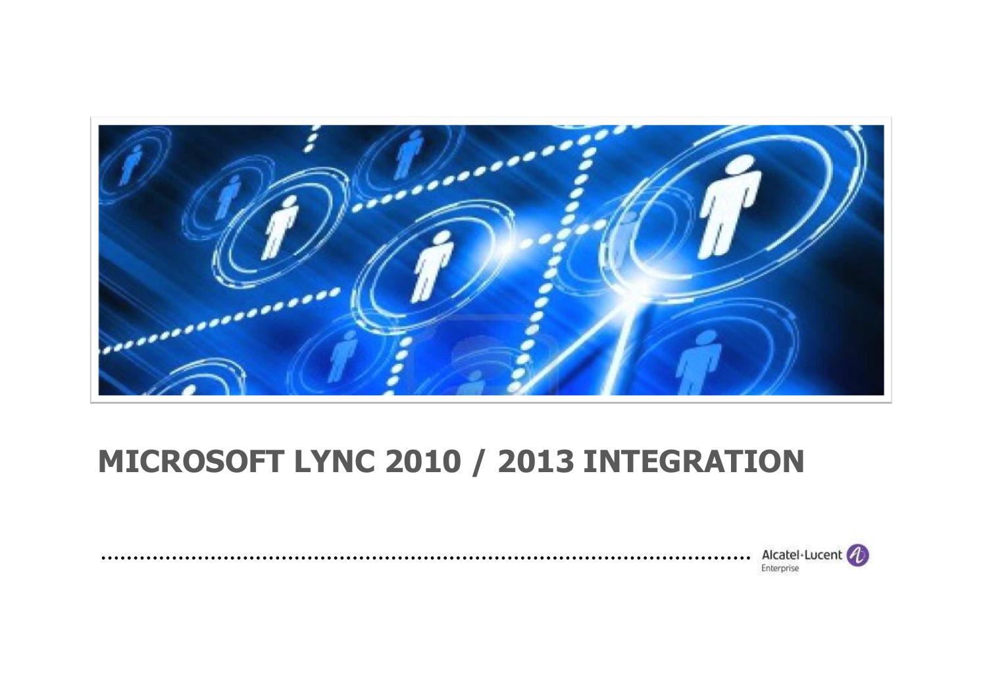

# **MICROSOFT LYNC 2010 / 2013 INTEGRATION**

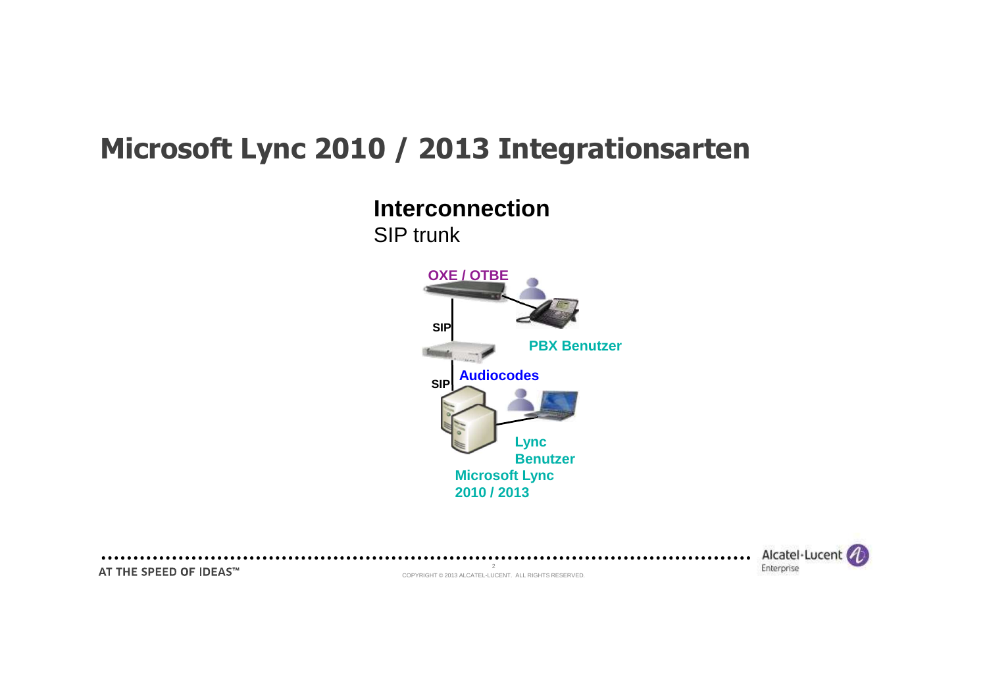### **Microsoft Lync 2010 / 2013 Integrationsarten**

**Interconnection**



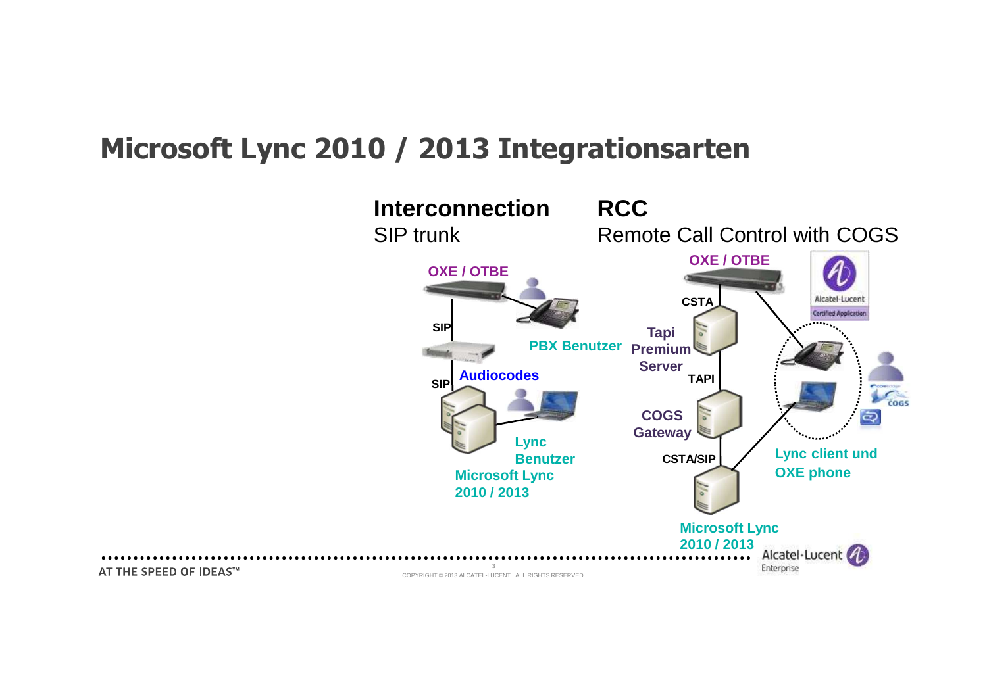#### **Microsoft Lync 2010 / 2013 Integrationsarten**

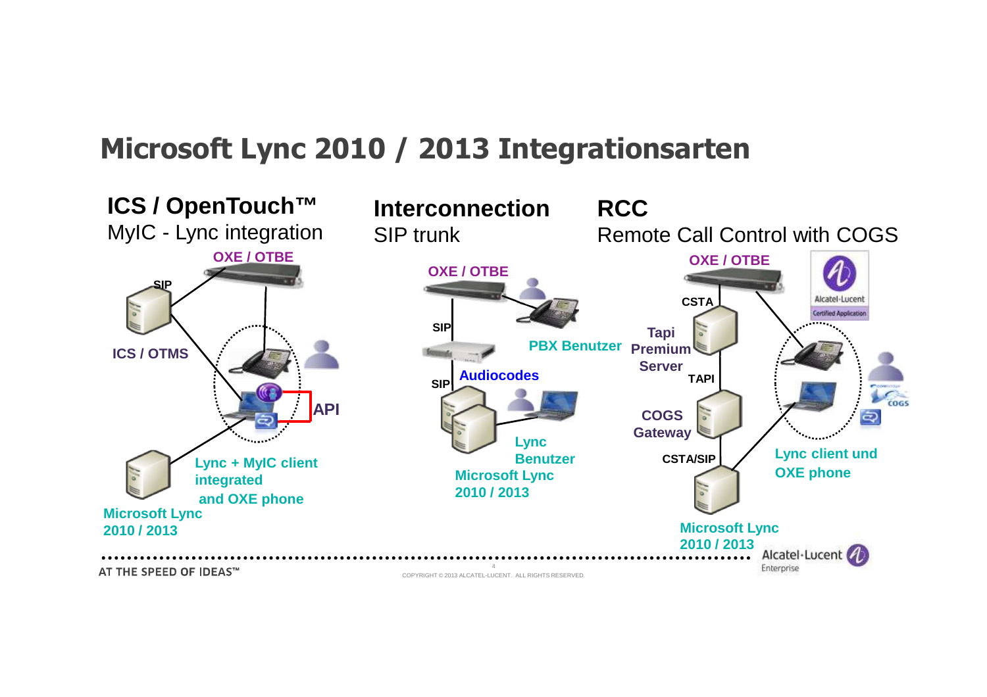#### **Microsoft Lync 2010 / 2013 Integrationsarten**

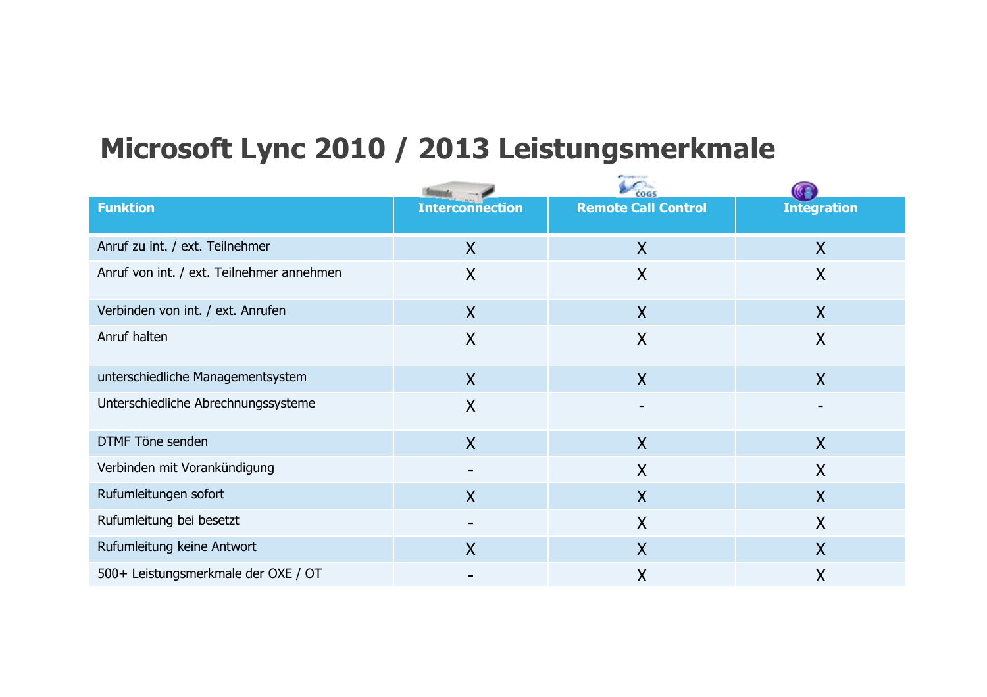## **Microsoft Lync 2010 / 2013 Leistungsmerkmale**

| <b>Funktion</b>                           | <b>Interconnection</b> | <b>Remote Call Control</b> | <b>Integration</b>        |
|-------------------------------------------|------------------------|----------------------------|---------------------------|
| Anruf zu int. / ext. Teilnehmer           | $\mathsf{X}$           | $\sf X$                    | $\boldsymbol{\mathsf{X}}$ |
| Anruf von int. / ext. Teilnehmer annehmen | $\sf X$                | $\sf X$                    | $\sf X$                   |
| Verbinden von int. / ext. Anrufen         | $\sf X$                | $\sf X$                    | X                         |
| Anruf halten                              | X                      | $\sf X$                    | X                         |
| unterschiedliche Managementsystem         | $\sf X$                | $\sf X$                    | X                         |
| Unterschiedliche Abrechnungssysteme       | $\sf X$                | $\overline{\phantom{0}}$   |                           |
| DTMF Töne senden                          | $\sf X$                | $\sf X$                    | $\boldsymbol{X}$          |
| Verbinden mit Vorankündigung              |                        | $\mathsf{X}$               | X                         |
| Rufumleitungen sofort                     | $\sf X$                | X                          | X                         |
| Rufumleitung bei besetzt                  |                        | X                          | X                         |
| Rufumleitung keine Antwort                | $\sf X$                | $\sf X$                    | X                         |
| 500+ Leistungsmerkmale der OXE / OT       |                        | $\sf X$                    | X                         |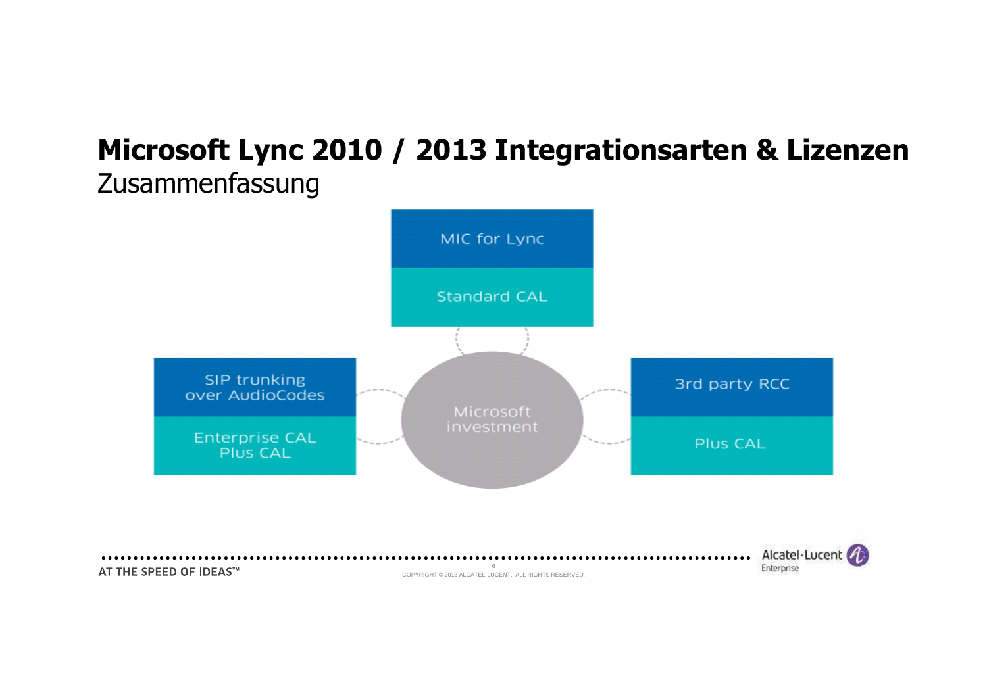#### **Microsoft Lync 2010 / 2013 Integrationsarten & Lizenzen** Zusammenfassung